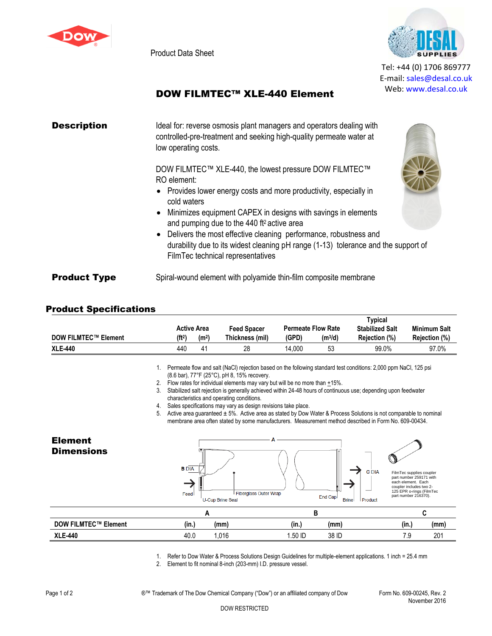

Product Data Sheet



Tel: +44 (0) 1706 869777 E‐mail: sales@desal.co.uk Web: www.desal.co.uk

## DOW FILMTEC™ XLE-440 Element

| <b>Description</b>  | Ideal for: reverse osmosis plant managers and operators dealing with<br>controlled-pre-treatment and seeking high-quality permeate water at<br>low operating costs.                                                                                                                                                                                                                                                                                 |
|---------------------|-----------------------------------------------------------------------------------------------------------------------------------------------------------------------------------------------------------------------------------------------------------------------------------------------------------------------------------------------------------------------------------------------------------------------------------------------------|
|                     | DOW FILMTEC™ XLE-440, the lowest pressure DOW FILMTEC™<br>RO element:<br>• Provides lower energy costs and more productivity, especially in<br>cold waters<br>• Minimizes equipment CAPEX in designs with savings in elements<br>and pumping due to the 440 ft <sup>2</sup> active area<br>• Delivers the most effective cleaning performance, robustness and<br>durability due to its widest cleaning pH range (1-13) tolerance and the support of |
| <b>Product Type</b> | FilmTec technical representatives<br>Spiral-wound element with polyamide thin-film composite membrane                                                                                                                                                                                                                                                                                                                                               |

## Product Specifications

|                             |                   |                    |                 |        |                           | Typical                |               |
|-----------------------------|-------------------|--------------------|-----------------|--------|---------------------------|------------------------|---------------|
|                             |                   | <b>Active Area</b> | Feed Spacer     |        | <b>Permeate Flow Rate</b> | <b>Stabilized Salt</b> | Minimum Salt  |
| <b>DOW FILMTEC™ Element</b> | (H <sup>2</sup> ) | (m <sup>2</sup> )  | Thickness (mil) | (GPD)  | (m <sup>3</sup> /d)       | Rejection (%)          | Rejection (%) |
| <b>XLE-440</b>              | 440               |                    | 28              | 14.000 | 53                        | 99.0%                  | 97.0%         |

1. Permeate flow and salt (NaCl) rejection based on the following standard test conditions: 2,000 ppm NaCl, 125 psi (8.6 bar), 77°F (25°C), pH 8, 15% recovery.

- 2. Flow rates for individual elements may vary but will be no more than  $\pm 15\%$ .
- 3. Stabilized salt rejection is generally achieved within 24-48 hours of continuous use; depending upon feedwater characteristics and operating conditions.
- 4. Sales specifications may vary as design revisions take place.

5. Active area guaranteed ± 5%. Active area as stated by Dow Water & Process Solutions is not comparable to nominal membrane area often stated by some manufacturers. Measurement method described in Form No. 609-00434.



1. Refer to Dow Water & Process Solutions Design Guidelines for multiple-element applications. 1 inch = 25.4 mm

2. Element to fit nominal 8-inch (203-mm) I.D. pressure vessel.